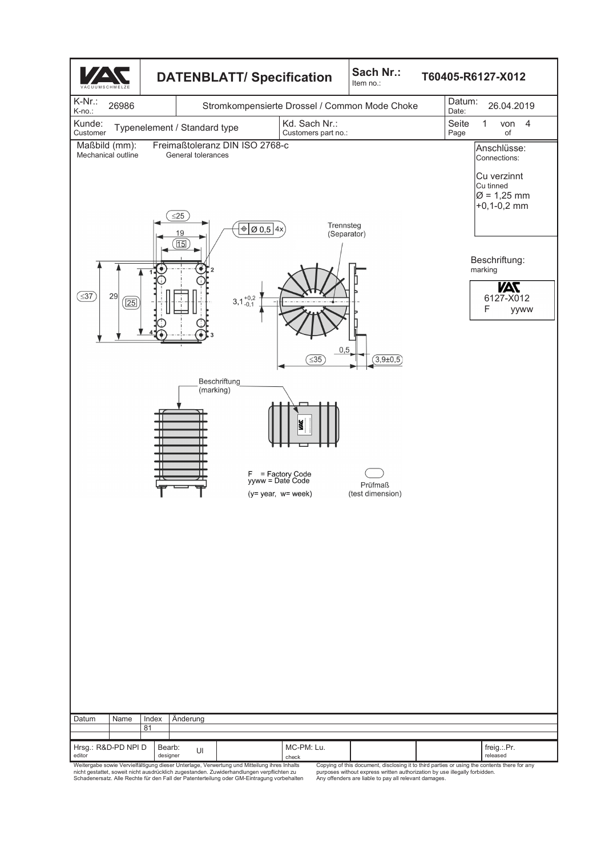

Copying of this document, disclosing it to third parties or using the contents there for any purposes without express written authorization by use illegally forbidden. Any offenders are liable to pay all relevant damages.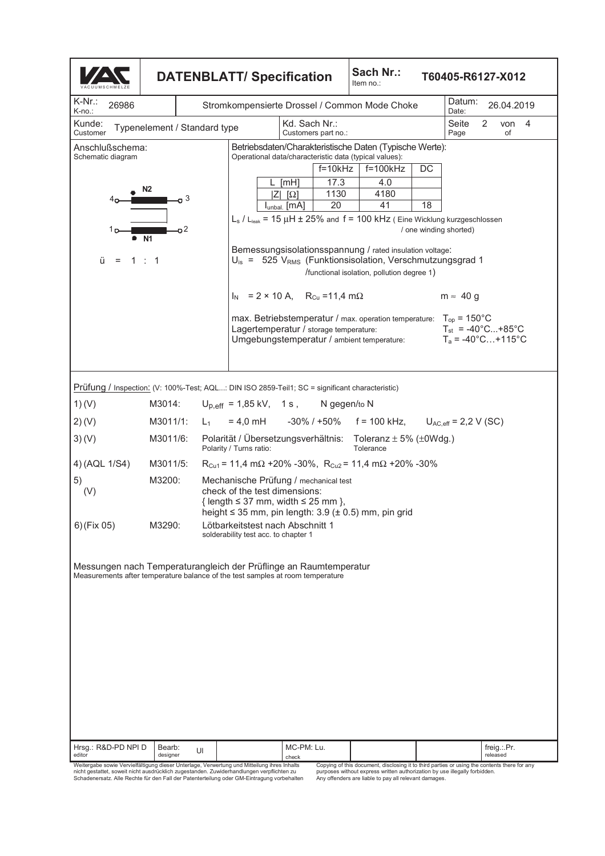| Sach Nr.:<br><b>DATENBLATT/ Specification</b><br>Item no.:                                                                                          |                              |       |                                                                                                                                                                                          |                          |                                            |           |                                                                                              |                        | T60405-R6127-X012                                                                    |   |                         |            |
|-----------------------------------------------------------------------------------------------------------------------------------------------------|------------------------------|-------|------------------------------------------------------------------------------------------------------------------------------------------------------------------------------------------|--------------------------|--------------------------------------------|-----------|----------------------------------------------------------------------------------------------|------------------------|--------------------------------------------------------------------------------------|---|-------------------------|------------|
| $K-Nr$ .:<br>26986<br>K-no.:                                                                                                                        |                              |       | Stromkompensierte Drossel / Common Mode Choke                                                                                                                                            |                          |                                            |           |                                                                                              |                        | Datum:<br>Date:                                                                      |   |                         | 26.04.2019 |
| Kunde:<br>Customer                                                                                                                                  | Typenelement / Standard type |       |                                                                                                                                                                                          | Kd. Sach Nr.:            | Customers part no.:                        |           |                                                                                              |                        | Seite<br>Page                                                                        | 2 | of                      | von $4$    |
| Anschlußschema:<br>Schematic diagram                                                                                                                |                              |       | Betriebsdaten/Charakteristische Daten (Typische Werte):<br>Operational data/characteristic data (typical values):                                                                        |                          |                                            |           |                                                                                              |                        |                                                                                      |   |                         |            |
|                                                                                                                                                     |                              |       |                                                                                                                                                                                          |                          | $f = 10k$ Hz                               |           | $f=100k$ Hz                                                                                  | DC                     |                                                                                      |   |                         |            |
|                                                                                                                                                     | N <sub>2</sub>               |       |                                                                                                                                                                                          | [mH]<br>$ Z $ $ \Omega $ | 17.3<br>1130                               |           | 4.0<br>4180                                                                                  |                        |                                                                                      |   |                         |            |
| 4ο                                                                                                                                                  | 3                            |       |                                                                                                                                                                                          | Iunbal. [MA]             | 20                                         |           | 41                                                                                           | 18                     |                                                                                      |   |                         |            |
| ה 1                                                                                                                                                 | o <sub>2</sub>               |       | $L_s$ / $L_{leak}$ = 15 $\mu$ H $\pm$ 25% and f = 100 kHz (Eine Wicklung kurzgeschlossen                                                                                                 |                          |                                            |           |                                                                                              | / one winding shorted) |                                                                                      |   |                         |            |
| ü<br>$=$                                                                                                                                            | • N1<br>1:1                  |       | Bemessungsisolationsspannung / rated insulation voltage:<br>$U_{\text{is}} = 525$ V <sub>RMS</sub> (Funktionsisolation, Verschmutzungsgrad 1                                             |                          | /functional isolation, pollution degree 1) |           |                                                                                              |                        |                                                                                      |   |                         |            |
|                                                                                                                                                     |                              |       | $I_N$ = 2 × 10 A, R <sub>Cu</sub> = 11,4 m $\Omega$                                                                                                                                      |                          |                                            |           |                                                                                              |                        | $m \approx 40 g$                                                                     |   |                         |            |
|                                                                                                                                                     |                              |       | max. Betriebstemperatur / max. operation temperature:<br>Lagertemperatur / storage temperature:<br>Umgebungstemperatur / ambient temperature:                                            |                          |                                            |           |                                                                                              |                        | $T_{op}$ = 150 $^{\circ}$ C<br>$T_{st}$ = -40°C+85°C<br>$T_a = -40^{\circ}$ C +115°C |   |                         |            |
|                                                                                                                                                     |                              |       |                                                                                                                                                                                          |                          |                                            |           |                                                                                              |                        |                                                                                      |   |                         |            |
| Prüfung / Inspection: (V: 100%-Test; AQL: DIN ISO 2859-Teil1; SC = significant characteristic)<br>1) (V)                                            | M3014:                       |       | $U_{p,eff}$ = 1,85 kV, 1 s, N gegen/to N                                                                                                                                                 |                          |                                            |           |                                                                                              |                        |                                                                                      |   |                         |            |
| 2)(V)                                                                                                                                               | M3011/1:                     | $L_1$ | $= 4.0$ mH $-30\%$ / +50% f = 100 kHz,                                                                                                                                                   |                          |                                            |           |                                                                                              |                        | $U_{AC,eff}$ = 2,2 V (SC)                                                            |   |                         |            |
| 3)(V)                                                                                                                                               | M3011/6:                     |       | Polarität / Übersetzungsverhältnis: Toleranz ± 5% (±0Wdg.)<br>Polarity / Turns ratio:                                                                                                    |                          |                                            | Tolerance |                                                                                              |                        |                                                                                      |   |                         |            |
| 4) (AQL 1/S4)                                                                                                                                       | M3011/5:                     |       | $R_{Cu1}$ = 11,4 m $\Omega$ +20% -30%, $R_{Cu2}$ = 11,4 m $\Omega$ +20% -30%                                                                                                             |                          |                                            |           |                                                                                              |                        |                                                                                      |   |                         |            |
| 5)<br>(V)                                                                                                                                           | M3200:                       |       | Mechanische Prüfung / mechanical test<br>check of the test dimensions:<br>{ length $\leq$ 37 mm, width $\leq$ 25 mm },<br>height $\leq$ 35 mm, pin length: 3.9 ( $\pm$ 0.5) mm, pin grid |                          |                                            |           |                                                                                              |                        |                                                                                      |   |                         |            |
| 6) (Fix 05)                                                                                                                                         | M3290:                       |       | Lötbarkeitstest nach Abschnitt 1<br>solderability test acc. to chapter 1                                                                                                                 |                          |                                            |           |                                                                                              |                        |                                                                                      |   |                         |            |
| Messungen nach Temperaturangleich der Prüflinge an Raumtemperatur<br>Measurements after temperature balance of the test samples at room temperature |                              |       |                                                                                                                                                                                          |                          |                                            |           |                                                                                              |                        |                                                                                      |   |                         |            |
| Hrsg.: R&D-PD NPI D<br>editor                                                                                                                       | Bearb:<br>designer           | UI    |                                                                                                                                                                                          | MC-PM: Lu.<br>check      |                                            |           |                                                                                              |                        |                                                                                      |   | freig.:.Pr.<br>released |            |
| Weitergabe sowie Vervielfältigung dieser Unterlage, Verwertung und Mitteilung ihres Inhalts                                                         |                              |       |                                                                                                                                                                                          |                          |                                            |           | Copying of this document, disclosing it to third parties or using the contents there for any |                        |                                                                                      |   |                         |            |

Copying of this document, disclosing it to third parties or using the contents there for any<br>purposes without express written authorization by use illegally forbidden.<br>Any offenders are liable to pay all relevant damages.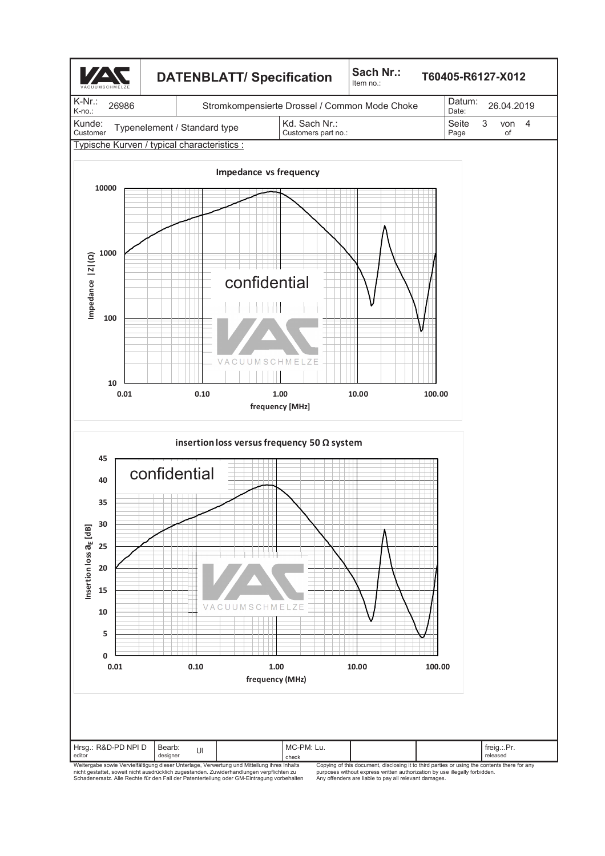

Copying of this document, disclosing it to third parties or using the contents there for any purposes without express written authorization by use illegally forbidden. Any offenders are liable to pay all relevant damages.